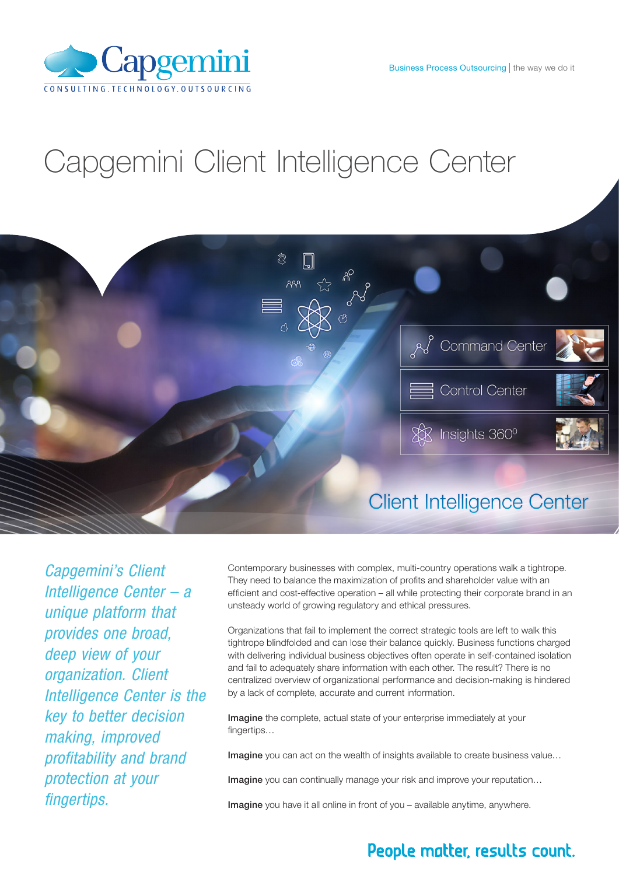

### Capgemini Client Intelligence Center



*Capgemini's Client Intelligence Center – a unique platform that provides one broad, deep view of your organization. Client Intelligence Center is the key to better decision making, improved profitability and brand protection at your fingertips.*

Contemporary businesses with complex, multi-country operations walk a tightrope. They need to balance the maximization of profits and shareholder value with an efficient and cost-effective operation – all while protecting their corporate brand in an unsteady world of growing regulatory and ethical pressures.

Organizations that fail to implement the correct strategic tools are left to walk this tightrope blindfolded and can lose their balance quickly. Business functions charged with delivering individual business objectives often operate in self-contained isolation and fail to adequately share information with each other. The result? There is no centralized overview of organizational performance and decision-making is hindered by a lack of complete, accurate and current information.

Imagine the complete, actual state of your enterprise immediately at your fingertips...

Imagine you can act on the wealth of insights available to create business value...

Imagine you can continually manage your risk and improve your reputation...

Imagine you have it all online in front of you – available anytime, anywhere.

#### People matter, results count.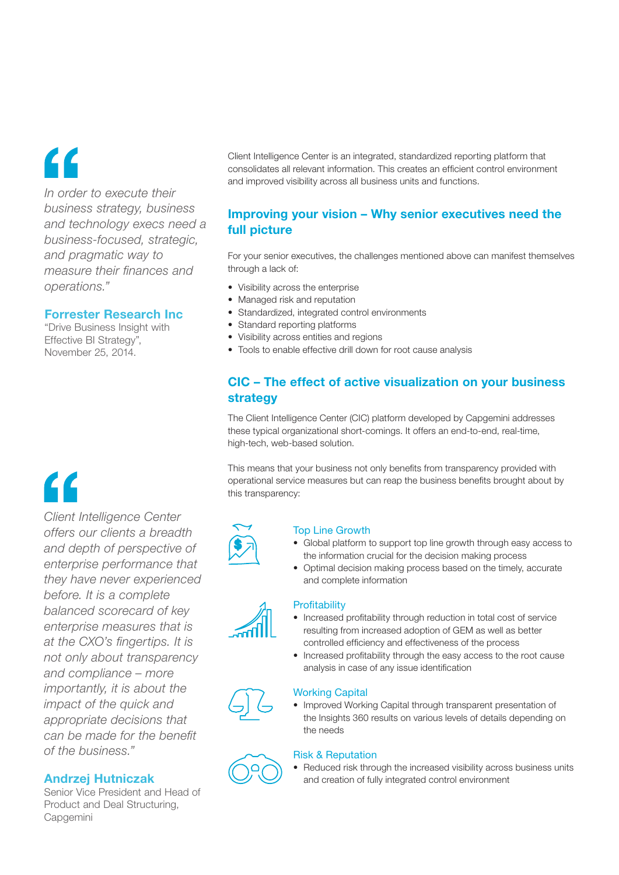### "

*In order to execute their business strategy, business and technology execs need a business-focused, strategic, and pragmatic way to measure their finances and operations."*

#### Forrester Research Inc

"Drive Business Insight with Effective BI Strategy", November 25, 2014.

## "

*Client Intelligence Center offers our clients a breadth and depth of perspective of enterprise performance that they have never experienced before. It is a complete balanced scorecard of key enterprise measures that is at the CXO's fingertips. It is not only about transparency and compliance – more importantly, it is about the impact of the quick and appropriate decisions that can be made for the benefit of the business."*

#### Andrzej Hutniczak

Senior Vice President and Head of Product and Deal Structuring, Capgemini

Client Intelligence Center is an integrated, standardized reporting platform that consolidates all relevant information. This creates an efficient control environment and improved visibility across all business units and functions.

#### Improving your vision – Why senior executives need the full picture

For your senior executives, the challenges mentioned above can manifest themselves through a lack of:

- Visibility across the enterprise
- Managed risk and reputation
- Standardized, integrated control environments
- Standard reporting platforms
- Visibility across entities and regions
- Tools to enable effective drill down for root cause analysis

#### CIC – The effect of active visualization on your business strategy

The Client Intelligence Center (CIC) platform developed by Capgemini addresses these typical organizational short-comings. It offers an end-to-end, real-time, high-tech, web-based solution.

This means that your business not only benefits from transparency provided with operational service measures but can reap the business benefits brought about by this transparency:



#### Top Line Growth

- Global platform to support top line growth through easy access to the information crucial for the decision making process
- Optimal decision making process based on the timely, accurate and complete information

#### **Profitability**

- Increased profitability through reduction in total cost of service resulting from increased adoption of GEM as well as better controlled efficiency and effectiveness of the process
- Increased profitability through the easy access to the root cause analysis in case of any issue identification

#### Working Capital

• Improved Working Capital through transparent presentation of the Insights 360 results on various levels of details depending on the needs

#### Risk & Reputation

• Reduced risk through the increased visibility across business units and creation of fully integrated control environment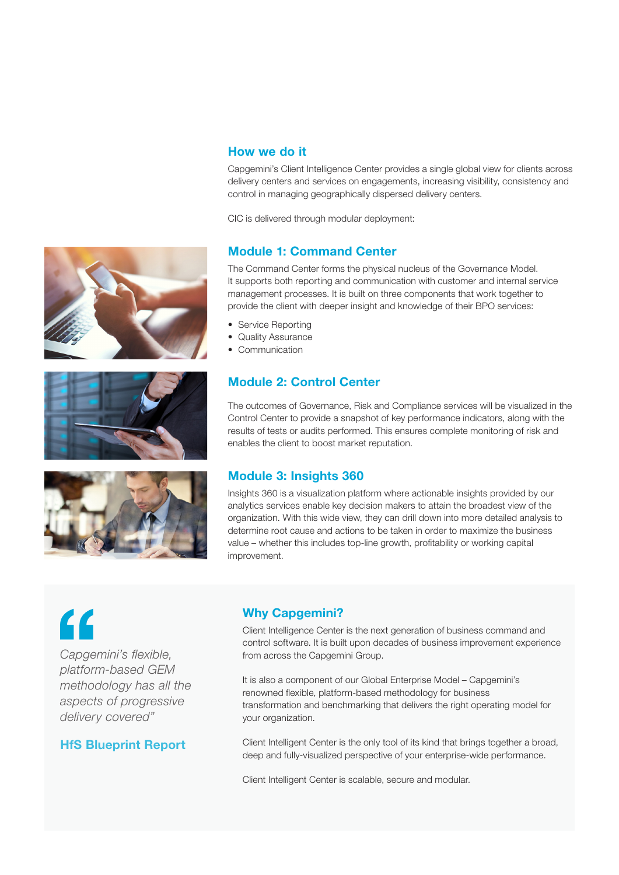





#### How we do it

Capgemini's Client Intelligence Center provides a single global view for clients across delivery centers and services on engagements, increasing visibility, consistency and control in managing geographically dispersed delivery centers.

CIC is delivered through modular deployment:

#### Module 1: Command Center

The Command Center forms the physical nucleus of the Governance Model. It supports both reporting and communication with customer and internal service management processes. It is built on three components that work together to provide the client with deeper insight and knowledge of their BPO services:

- Service Reporting
- Quality Assurance
- Communication

#### Module 2: Control Center

The outcomes of Governance, Risk and Compliance services will be visualized in the Control Center to provide a snapshot of key performance indicators, along with the results of tests or audits performed. This ensures complete monitoring of risk and enables the client to boost market reputation.

#### Module 3: Insights 360

Insights 360 is a visualization platform where actionable insights provided by our analytics services enable key decision makers to attain the broadest view of the organization. With this wide view, they can drill down into more detailed analysis to determine root cause and actions to be taken in order to maximize the business value – whether this includes top-line growth, profitability or working capital improvement.

# $\epsilon$

*Capgemini's flexible, platform-based GEM methodology has all the aspects of progressive delivery covered"*

#### HfS Blueprint Report

#### Why Capgemini?

Client Intelligence Center is the next generation of business command and control software. It is built upon decades of business improvement experience from across the Capgemini Group.

It is also a component of our Global Enterprise Model – Capgemini's renowned flexible, platform-based methodology for business transformation and benchmarking that delivers the right operating model for your organization.

Client Intelligent Center is the only tool of its kind that brings together a broad, deep and fully-visualized perspective of your enterprise-wide performance.

Client Intelligent Center is scalable, secure and modular.